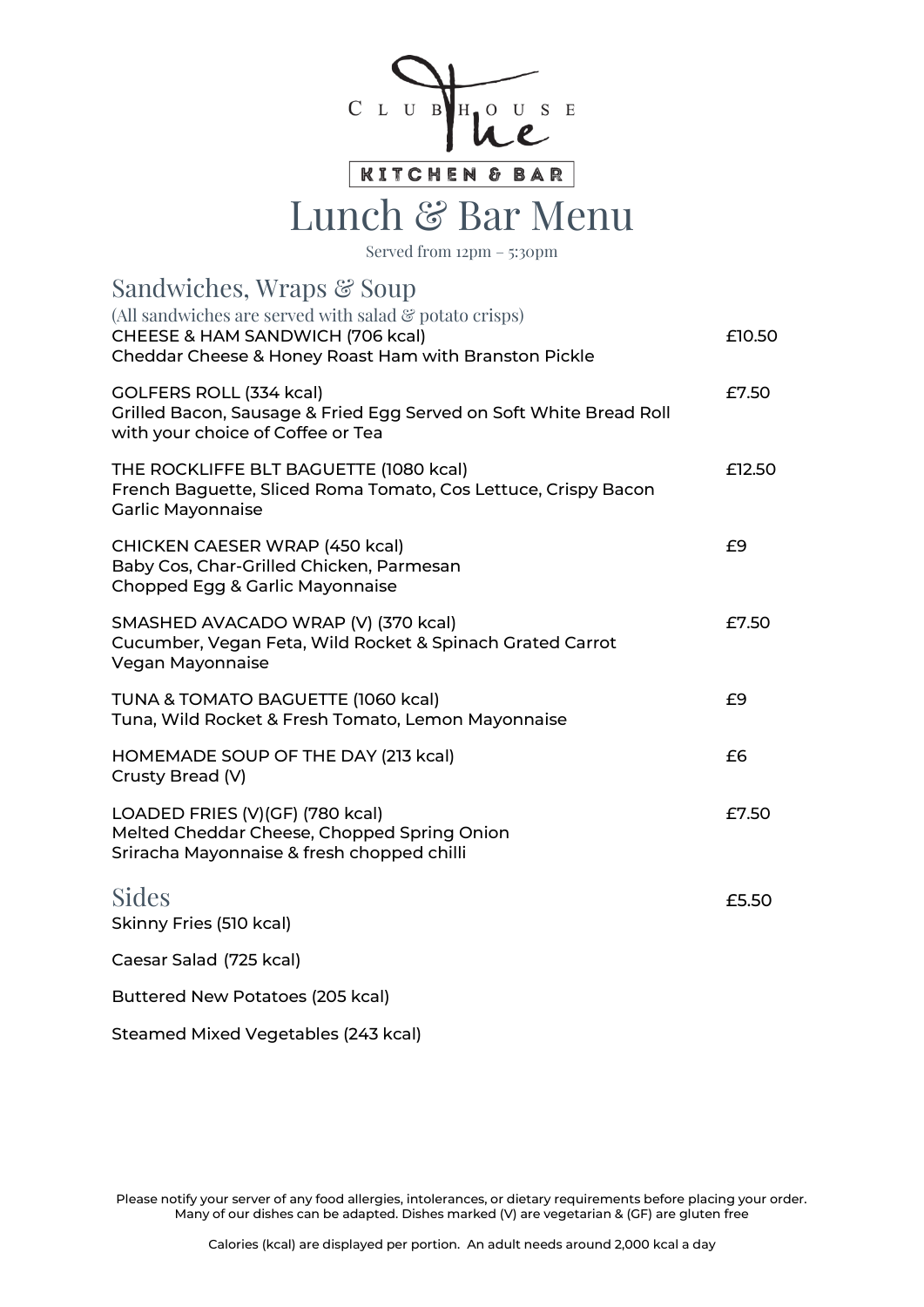

KITCHEN & BAR

## Lunch & Bar Menu

Served from 12pm – 5:30pm

| Sandwiches, Wraps & Soup                                                                                                                                        |        |
|-----------------------------------------------------------------------------------------------------------------------------------------------------------------|--------|
| (All sandwiches are served with salad $\mathcal{C}$ potato crisps)<br>CHEESE & HAM SANDWICH (706 kcal)<br>Cheddar Cheese & Honey Roast Ham with Branston Pickle | £10.50 |
| GOLFERS ROLL (334 kcal)<br>Grilled Bacon, Sausage & Fried Egg Served on Soft White Bread Roll<br>with your choice of Coffee or Tea                              | £7.50  |
| THE ROCKLIFFE BLT BAGUETTE (1080 kcal)<br>French Baguette, Sliced Roma Tomato, Cos Lettuce, Crispy Bacon<br><b>Garlic Mayonnaise</b>                            | £12.50 |
| <b>CHICKEN CAESER WRAP (450 kcal)</b><br>Baby Cos, Char-Grilled Chicken, Parmesan<br>Chopped Egg & Garlic Mayonnaise                                            | £9     |
| SMASHED AVACADO WRAP (V) (370 kcal)<br>Cucumber, Vegan Feta, Wild Rocket & Spinach Grated Carrot<br>Vegan Mayonnaise                                            | £7.50  |
| TUNA & TOMATO BAGUETTE (1060 kcal)<br>Tuna, Wild Rocket & Fresh Tomato, Lemon Mayonnaise                                                                        | £9     |
| HOMEMADE SOUP OF THE DAY (213 kcal)<br>Crusty Bread (V)                                                                                                         | £6     |
| LOADED FRIES (V)(GF) (780 kcal)<br>Melted Cheddar Cheese, Chopped Spring Onion<br>Sriracha Mayonnaise & fresh chopped chilli                                    | £7.50  |
| <b>Sides</b><br>Skinny Fries (510 kcal)                                                                                                                         | £5.50  |
| Caesar Salad (725 kcal)                                                                                                                                         |        |
| Buttered New Potatoes (205 kcal)                                                                                                                                |        |
| Steamed Mixed Vegetables (243 kcal)                                                                                                                             |        |

Please notify your server of any food allergies, intolerances, or dietary requirements before placing your order. Many of our dishes can be adapted. Dishes marked (V) are vegetarian & (GF) are gluten free